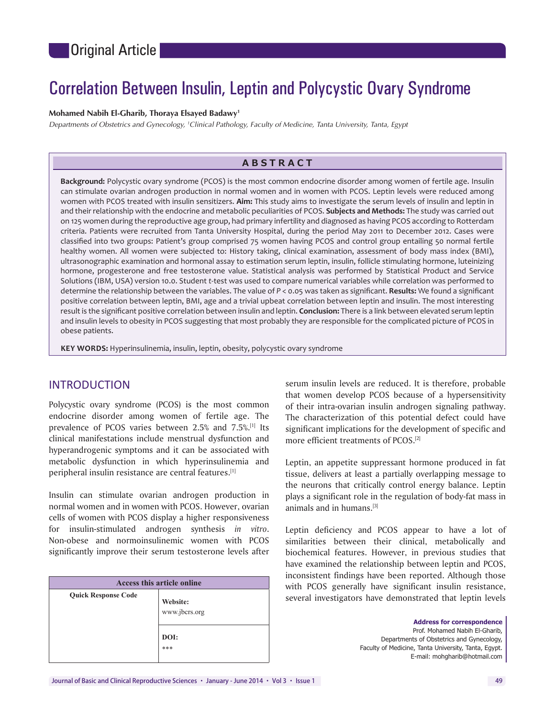# Correlation Between Insulin, Leptin and Polycystic Ovary Syndrome

### **Mohamed Nabih El‑Gharib, Thoraya Elsayed Badawy1**

*Departments of Obstetrics and Gynecology, 1 Clinical Pathology, Faculty of Medicine, Tanta University, Tanta, Egypt*

# **ABSTRACT**

**Background:** Polycystic ovary syndrome (PCOS) is the most common endocrine disorder among women of fertile age. Insulin can stimulate ovarian androgen production in normal women and in women with PCOS. Leptin levels were reduced among women with PCOS treated with insulin sensitizers. **Aim:** This study aims to investigate the serum levels of insulin and leptin in and their relationship with the endocrine and metabolic peculiarities of PCOS. **Subjects and Methods:** The study was carried out on 125 women during the reproductive age group, had primary infertility and diagnosed as having PCOS according to Rotterdam criteria. Patients were recruited from Tanta University Hospital, during the period May 2011 to December 2012. Cases were classified into two groups: Patient's group comprised 75 women having PCOS and control group entailing 50 normal fertile healthy women. All women were subjected to: History taking, clinical examination, assessment of body mass index (BMI), ultrasonographic examination and hormonal assay to estimation serum leptin, insulin, follicle stimulating hormone, luteinizing hormone, progesterone and free testosterone value. Statistical analysis was performed by Statistical Product and Service Solutions (IBM, USA) version 10.0. Student *t*‑test was used to compare numerical variables while correlation was performed to determine the relationship between the variables. The value of *P* < 0.05 was taken as significant. **Results:** We found a significant positive correlation between leptin, BMI, age and a trivial upbeat correlation between leptin and insulin. The most interesting result is the significant positive correlation between insulin and leptin. **Conclusion:** There is a link between elevated serum leptin and insulin levels to obesity in PCOS suggesting that most probably they are responsible for the complicated picture of PCOS in obese patients.

**KEY WORDS:** Hyperinsulinemia, insulin, leptin, obesity, polycystic ovary syndrome

# INTRODUCTION

Polycystic ovary syndrome (PCOS) is the most common endocrine disorder among women of fertile age. The prevalence of PCOS varies between 2.5% and 7.5%.[1] Its clinical manifestations include menstrual dysfunction and hyperandrogenic symptoms and it can be associated with metabolic dysfunction in which hyperinsulinemia and peripheral insulin resistance are central features.[1]

Insulin can stimulate ovarian androgen production in normal women and in women with PCOS. However, ovarian cells of women with PCOS display a higher responsiveness for insulin‑stimulated androgen synthesis *in vitro*. Non‑obese and normoinsulinemic women with PCOS significantly improve their serum testosterone levels after

| <b>Access this article online</b> |                                          |  |  |
|-----------------------------------|------------------------------------------|--|--|
| <b>Quick Response Code</b>        | Website:<br>www.jbcrs.org<br>DOI:<br>*** |  |  |

serum insulin levels are reduced. It is therefore, probable that women develop PCOS because of a hypersensitivity of their intra‑ovarian insulin androgen signaling pathway. The characterization of this potential defect could have significant implications for the development of specific and more efficient treatments of PCOS.[2]

Leptin, an appetite suppressant hormone produced in fat tissue, delivers at least a partially overlapping message to the neurons that critically control energy balance. Leptin plays a significant role in the regulation of body‑fat mass in animals and in humans.[3]

Leptin deficiency and PCOS appear to have a lot of similarities between their clinical, metabolically and biochemical features. However, in previous studies that have examined the relationship between leptin and PCOS, inconsistent findings have been reported. Although those with PCOS generally have significant insulin resistance, several investigators have demonstrated that leptin levels

> **Address for correspondence**  Prof. Mohamed Nabih El‑Gharib, Departments of Obstetrics and Gynecology, Faculty of Medicine, Tanta University, Tanta, Egypt. E-mail: mohgharib@hotmail.com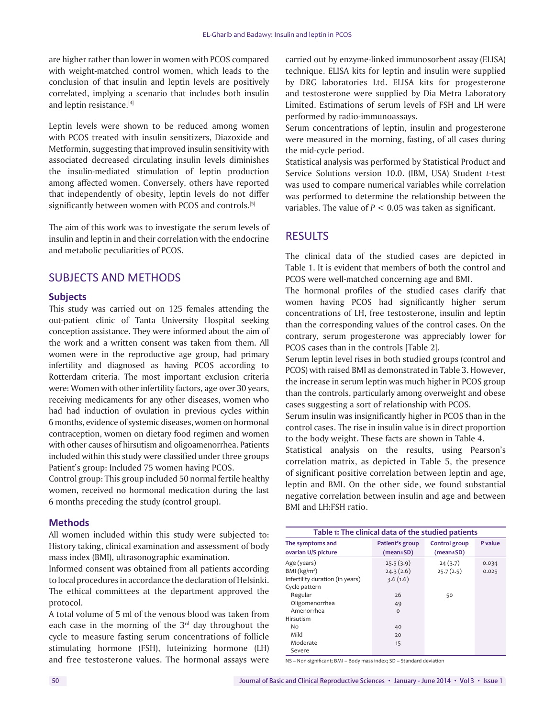are higher rather than lower in women with PCOS compared with weight-matched control women, which leads to the conclusion of that insulin and leptin levels are positively correlated, implying a scenario that includes both insulin and leptin resistance.[4]

Leptin levels were shown to be reduced among women with PCOS treated with insulin sensitizers, Diazoxide and Metformin, suggesting that improved insulin sensitivity with associated decreased circulating insulin levels diminishes the insulin‑mediated stimulation of leptin production among affected women. Conversely, others have reported that independently of obesity, leptin levels do not differ significantly between women with PCOS and controls.<sup>[5]</sup>

The aim of this work was to investigate the serum levels of insulin and leptin in and their correlation with the endocrine and metabolic peculiarities of PCOS.

# SUBJECTS AND METHODS

### **Subjects**

This study was carried out on 125 females attending the out‑patient clinic of Tanta University Hospital seeking conception assistance. They were informed about the aim of the work and a written consent was taken from them. All women were in the reproductive age group, had primary infertility and diagnosed as having PCOS according to Rotterdam criteria. The most important exclusion criteria were: Women with other infertility factors, age over 30 years, receiving medicaments for any other diseases, women who had had induction of ovulation in previous cycles within 6months, evidence of systemic diseases, women on hormonal contraception, women on dietary food regimen and women with other causes of hirsutism and oligoamenorrhea. Patients included within this study were classified under three groups Patient's group: Included 75 women having PCOS.

Control group: This group included 50 normal fertile healthy women, received no hormonal medication during the last 6 months preceding the study (control group).

## **Methods**

All women included within this study were subjected to: History taking, clinical examination and assessment of body mass index (BMI), ultrasonographic examination.

Informed consent was obtained from all patients according to local procedures in accordance the declaration of Helsinki. The ethical committees at the department approved the protocol.

A total volume of 5 ml of the venous blood was taken from each case in the morning of the  $3<sup>rd</sup>$  day throughout the cycle to measure fasting serum concentrations of follicle stimulating hormone (FSH), luteinizing hormone (LH) and free testosterone values. The hormonal assays were carried out by enzyme‑linked immunosorbent assay (ELISA) technique. ELISA kits for leptin and insulin were supplied by DRG laboratories Ltd. ELISA kits for progesterone and testosterone were supplied by Dia Metra Laboratory Limited. Estimations of serum levels of FSH and LH were performed by radio‑immunoassays.

Serum concentrations of leptin, insulin and progesterone were measured in the morning, fasting, of all cases during the mid‑cycle period.

Statistical analysis was performed by Statistical Product and Service Solutions version 10.0. (IBM, USA) Student *t*-test was used to compare numerical variables while correlation was performed to determine the relationship between the variables. The value of *P* < 0.05 was taken as significant.

# **RESULTS**

The clinical data of the studied cases are depicted in Table 1. It is evident that members of both the control and PCOS were well-matched concerning age and BMI.

The hormonal profiles of the studied cases clarify that women having PCOS had significantly higher serum concentrations of LH, free testosterone, insulin and leptin than the corresponding values of the control cases. On the contrary, serum progesterone was appreciably lower for PCOS cases than in the controls [Table 2].

Serum leptin level rises in both studied groups (control and PCOS) with raised BMI as demonstrated in Table 3. However, the increase in serum leptin was much higher in PCOS group than the controls, particularly among overweight and obese cases suggesting a sort of relationship with PCOS.

Serum insulin was insignificantly higher in PCOS than in the control cases. The rise in insulin value is in direct proportion to the body weight. These facts are shown in Table 4.

Statistical analysis on the results, using Pearson's correlation matrix, as depicted in Table 5, the presence of significant positive correlation between leptin and age, leptin and BMI. On the other side, we found substantial negative correlation between insulin and age and between BMI and LH:FSH ratio.

| Table 1: The clinical data of the studied patients                                                     |                                          |                                  |                |  |
|--------------------------------------------------------------------------------------------------------|------------------------------------------|----------------------------------|----------------|--|
| The symptoms and<br>ovarian U/S picture                                                                | Patient's group<br>(mean±SD)             | Control group<br>$(mean \pm SD)$ | P value        |  |
| Age (years)<br>BMI (kg/m <sup>2</sup> )<br>Infertility duration (in years)<br>Cycle pattern<br>Regular | 25.5(3.9)<br>24.3(2.6)<br>3.6(1.6)<br>26 | 24(3.7)<br>25.7(2.5)<br>50       | 0.034<br>0.025 |  |
| Oligomenorrhea<br>Amenorrhea<br>Hirsutism<br>No<br>Mild<br>Moderate<br>Severe                          | 49<br>$\circ$<br>40<br>20<br>15          |                                  |                |  |

NS – Non‑significant; BMI – Body mass index; SD – Standard deviation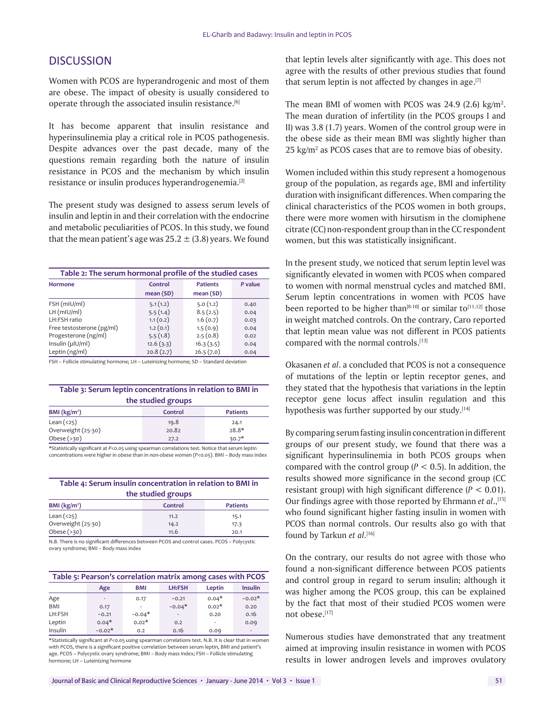# **DISCUSSION**

Women with PCOS are hyperandrogenic and most of them are obese. The impact of obesity is usually considered to operate through the associated insulin resistance.[6]

It has become apparent that insulin resistance and hyperinsulinemia play a critical role in PCOS pathogenesis. Despite advances over the past decade, many of the questions remain regarding both the nature of insulin resistance in PCOS and the mechanism by which insulin resistance or insulin produces hyperandrogenemia.[2]

The present study was designed to assess serum levels of insulin and leptin in and their correlation with the endocrine and metabolic peculiarities of PCOS. In this study, we found that the mean patient's age was  $25.2 \pm (3.8)$  years. We found

| Table 2: The serum hormonal profile of the studied cases |                     |                             |         |  |
|----------------------------------------------------------|---------------------|-----------------------------|---------|--|
| Hormone                                                  | Control<br>mean(SD) | <b>Patients</b><br>mean(SD) | P value |  |
| FSH (mIU/ml)                                             | 5.1(1.2)            | 5.0(1.2)                    | 0.40    |  |
| $LH$ (mIU/mI)                                            | 5.5(1.4)            | 8.5(2.5)                    | 0.04    |  |
| LH:FSH ratio                                             | 1.1(0.2)            | 1.6(0.7)                    | 0.03    |  |
| Free testosterone (pg/ml)                                | 1.2(0.1)            | 1.5(0.9)                    | 0.04    |  |
| Progesterone (ng/ml)                                     | 5.5(1.8)            | 2.5(0.8)                    | 0.02    |  |
| Insulin (µlU/ml)                                         | 12.6(3.3)           | 16.3(3.5)                   | 0.04    |  |
| Leptin (ng/ml)                                           | 20.8(2.7)           | 26.5(7.0)                   | 0.04    |  |

FSH – Follicle stimulating hormone; LH – Luteinizing hormone; SD – Standard deviation

#### **Table 3: Serum leptin concentrations in relation to BMI in the studied groups**

| BMI $(kg/m2)$                                                                                                      | Control | <b>Patients</b> |  |
|--------------------------------------------------------------------------------------------------------------------|---------|-----------------|--|
| Lean $(25)$                                                                                                        | 19.8    | 24.1            |  |
| Overweight (25-30)                                                                                                 | 20.82   | $28.8*$         |  |
| Obese $(>30)$                                                                                                      | 27.2    | $30.7*$         |  |
| According to the character and contracted and according to a conclusion of a contracted show a contract contracted |         |                 |  |

\*Statistically significant at *P*<0.05 using spearman correlations test. Notice that serum leptin concentrations were higher in obese than in non‑obese women (*P*<0.05). BMI – Body mass index

#### **Table 4: Serum insulin concentration in relation to BMI in the studied groups**

| the studied groups |         |                 |  |
|--------------------|---------|-----------------|--|
| BMI $(kg/m2)$      | Control | <b>Patients</b> |  |
| Lean $(25)$        | 11.2    | 15.1            |  |
| Overweight (25-30) | 14.2    | 17.3            |  |
| Obese $(>30)$      | 11.6    | 20.1            |  |

N.B. There is no significant differences between PCOS and control cases. PCOS – Polycystic ovary syndrome; BMI – Body mass index

| Table 5: Pearson's correlation matrix among cases with PCOS |  |  |  |  |
|-------------------------------------------------------------|--|--|--|--|
|-------------------------------------------------------------|--|--|--|--|

|         | Age                      | <b>BMI</b>               | LH:FSH                   | Leptin         | <b>Insulin</b>           |
|---------|--------------------------|--------------------------|--------------------------|----------------|--------------------------|
| Age     | $\overline{\phantom{a}}$ | 0.17                     | $-0.21$                  | $0.04*$        | $-0.02*$                 |
| BMI     | 0.17                     | $\overline{\phantom{a}}$ | $-0.04*$                 | $0.02*$        | 0.20                     |
| LH:FSH  | $-0.21$                  | $-0.04*$                 | $\overline{\phantom{a}}$ | 0.20           | 0.16                     |
| Leptin  | $0.04*$                  | $0.02*$                  | 0.2                      | $\blacksquare$ | 0.09                     |
| Insulin | $-0.02*$                 | 0.2                      | 0.16                     | 0.09           | $\overline{\phantom{a}}$ |

\*Statistically significant at *P*<0.05 using spearman correlations test. N.B. It is clear that in women with PCOS, there is a significant positive correlation between serum leptin. BMI and patient's age. PCOS – Polycystic ovary syndrome; BMI – Body mass index; FSH – Follicle stimulating hormone; LH – Luteinizing hormone

that leptin levels alter significantly with age. This does not agree with the results of other previous studies that found that serum leptin is not affected by changes in age.<sup>[7]</sup>

The mean BMI of women with PCOS was  $24.9$  (2.6) kg/m<sup>2</sup>. The mean duration of infertility (in the PCOS groups I and II) was 3.8 (1.7) years. Women of the control group were in the obese side as their mean BMI was slightly higher than  $25$  kg/m<sup>2</sup> as PCOS cases that are to remove bias of obesity.

Women included within this study represent a homogenous group of the population, as regards age, BMI and infertility duration with insignificant differences. When comparing the clinical characteristics of the PCOS women in both groups, there were more women with hirsutism in the clomiphene citrate (CC) non‑respondent group than in the CC respondent women, but this was statistically insignificant.

In the present study, we noticed that serum leptin level was significantly elevated in women with PCOS when compared to women with normal menstrual cycles and matched BMI. Serum leptin concentrations in women with PCOS have been reported to be higher than<sup>[8-10]</sup> or similar to<sup>[11,12]</sup> those in weight matched controls. On the contrary, Caro reported that leptin mean value was not different in PCOS patients compared with the normal controls.<sup>[13]</sup>

Okasanen *et al*. a concluded that PCOS is not a consequence of mutations of the leptin or leptin receptor genes, and they stated that the hypothesis that variations in the leptin receptor gene locus affect insulin regulation and this hypothesis was further supported by our study.<sup>[14]</sup>

By comparing serum fasting insulin concentration in different groups of our present study, we found that there was a significant hyperinsulinemia in both PCOS groups when compared with the control group  $(P < 0.5)$ . In addition, the results showed more significance in the second group (CC resistant group) with high significant difference (*P* < 0.01). Our findings agree with those reported by Ehrmann *et al*.,[15] who found significant higher fasting insulin in women with PCOS than normal controls. Our results also go with that found by Tarkun *et al*. [16]

On the contrary, our results do not agree with those who found a non‑significant difference between PCOS patients and control group in regard to serum insulin; although it was higher among the PCOS group, this can be explained by the fact that most of their studied PCOS women were not obese.[17]

Numerous studies have demonstrated that any treatment aimed at improving insulin resistance in women with PCOS results in lower androgen levels and improves ovulatory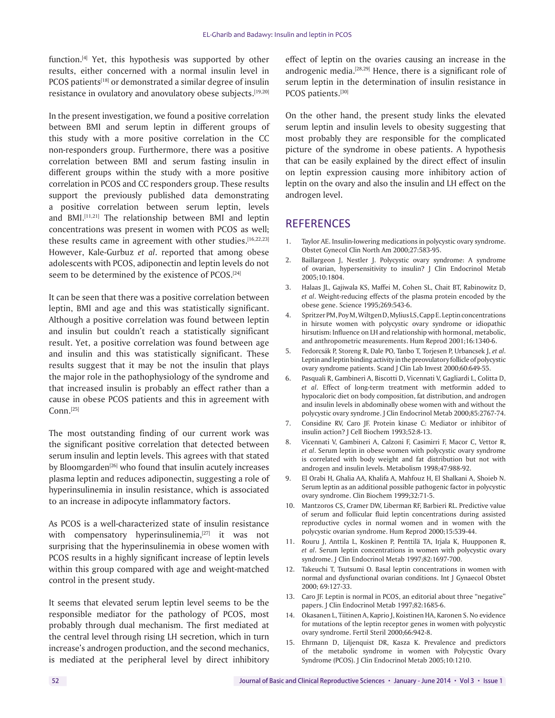function.<sup>[4]</sup> Yet, this hypothesis was supported by other results, either concerned with a normal insulin level in PCOS patients<sup>[18]</sup> or demonstrated a similar degree of insulin resistance in ovulatory and anovulatory obese subjects.<sup>[19,20]</sup>

In the present investigation, we found a positive correlation between BMI and serum leptin in different groups of this study with a more positive correlation in the CC non-responders group. Furthermore, there was a positive correlation between BMI and serum fasting insulin in different groups within the study with a more positive correlation in PCOS and CC responders group. These results support the previously published data demonstrating a positive correlation between serum leptin, levels and BMI.[11,21] The relationship between BMI and leptin concentrations was present in women with PCOS as well; these results came in agreement with other studies.<sup>[16,22,23]</sup> However, Kale‑Gurbuz *et al*. reported that among obese adolescents with PCOS, adiponectin and leptin levels do not seem to be determined by the existence of PCOS.<sup>[24]</sup>

It can be seen that there was a positive correlation between leptin, BMI and age and this was statistically significant. Although a positive correlation was found between leptin and insulin but couldn't reach a statistically significant result. Yet, a positive correlation was found between age and insulin and this was statistically significant. These results suggest that it may be not the insulin that plays the major role in the pathophysiology of the syndrome and that increased insulin is probably an effect rather than a cause in obese PCOS patients and this in agreement with  $Conn.<sup>[25]</sup>$ 

The most outstanding finding of our current work was the significant positive correlation that detected between serum insulin and leptin levels. This agrees with that stated by Bloomgarden<sup>[26]</sup> who found that insulin acutely increases plasma leptin and reduces adiponectin, suggesting a role of hyperinsulinemia in insulin resistance, which is associated to an increase in adipocyte inflammatory factors.

As PCOS is a well-characterized state of insulin resistance with compensatory hyperinsulinemia, $^{[27]}$  it was not surprising that the hyperinsulinemia in obese women with PCOS results in a highly significant increase of leptin levels within this group compared with age and weight-matched control in the present study.

It seems that elevated serum leptin level seems to be the responsible mediator for the pathology of PCOS, most probably through dual mechanism. The first mediated at the central level through rising LH secretion, which in turn increase's androgen production, and the second mechanics, is mediated at the peripheral level by direct inhibitory effect of leptin on the ovaries causing an increase in the androgenic media.<sup>[28,29]</sup> Hence, there is a significant role of serum leptin in the determination of insulin resistance in PCOS patients.[30]

On the other hand, the present study links the elevated serum leptin and insulin levels to obesity suggesting that most probably they are responsible for the complicated picture of the syndrome in obese patients. A hypothesis that can be easily explained by the direct effect of insulin on leptin expression causing more inhibitory action of leptin on the ovary and also the insulin and LH effect on the androgen level.

# **REFERENCES**

- 1. Taylor AE. Insulin‑lowering medications in polycystic ovary syndrome. Obstet Gynecol Clin North Am 2000;27:583‑95.
- 2. Baillargeon J, Nestler J. Polycystic ovary syndrome: A syndrome of ovarian, hypersensitivity to insulin? J Clin Endocrinol Metab 2005;10:1804.
- 3. Halaas JL, Gajiwala KS, Maffei M, Cohen SL, Chait BT, Rabinowitz D, *et al*. Weight‑reducing effects of the plasma protein encoded by the obese gene. Science 1995;269:543‑6.
- 4. SpritzerPM, PoyM, WiltgenD, Mylius LS, CappE. Leptin concentrations in hirsute women with polycystic ovary syndrome or idiopathic hirsutism: Influence on LH and relationship with hormonal, metabolic, and anthropometric measurements. Hum Reprod 2001;16:1340-6.
- 5. Fedorcsák P, Storeng R, Dale PO, Tanbo T, Torjesen P, Urbancsek J, *et al*. Leptin and leptin binding activity in the preovulatory follicle of polycystic ovary syndrome patients. Scand J Clin Lab Invest 2000;60:649-55.
- 6. Pasquali R, Gambineri A, Biscotti D, Vicennati V, Gagliardi L, Colitta D, *et al*. Effect of long‑term treatment with metformin added to hypocaloric diet on body composition, fat distribution, and androgen and insulin levels in abdominally obese women with and without the polycystic ovary syndrome. J Clin Endocrinol Metab 2000;85:2767-74.
- 7. Considine RV, Caro JF. Protein kinase C: Mediator or inhibitor of insulin action? J Cell Biochem 1993;52:8‑13.
- 8. Vicennati V, Gambineri A, Calzoni F, Casimirri F, Macor C, Vettor R, *et al*. Serum leptin in obese women with polycystic ovary syndrome is correlated with body weight and fat distribution but not with androgen and insulin levels. Metabolism 1998;47:988‑92.
- 9. El Orabi H, Ghalia AA, Khalifa A, Mahfouz H, El Shalkani A, Shoieb N. Serum leptin as an additional possible pathogenic factor in polycystic ovary syndrome. Clin Biochem 1999;32:71‑5.
- 10. Mantzoros CS, Cramer DW, Liberman RF, Barbieri RL. Predictive value of serum and follicular fluid leptin concentrations during assisted reproductive cycles in normal women and in women with the polycystic ovarian syndrome. Hum Reprod 2000;15:539‑44.
- 11. Rouru J, Anttila L, Koskinen P, Penttilä TA, Irjala K, Huupponen R, *et al*. Serum leptin concentrations in women with polycystic ovary syndrome. J Clin Endocrinol Metab 1997;82:1697‑700.
- 12. Takeuchi T, Tsutsumi O. Basal leptin concentrations in women with normal and dysfunctional ovarian conditions. Int J Gynaecol Obstet 2000; 69:127‑33.
- 13. Caro JF. Leptin is normal in PCOS, an editorial about three "negative" papers. J Clin Endocrinol Metab 1997;82:1685‑6.
- 14. Okasanen L, Tiitinen A, Kaprio J, Koistinen HA, Karonen S. No evidence for mutations of the leptin receptor genes in women with polycystic ovary syndrome. Fertil Steril 2000;66:942‑8.
- 15. Ehrmann D, Liljenquist DR, Kasza K. Prevalence and predictors of the metabolic syndrome in women with Polycystic Ovary Syndrome (PCOS). J Clin Endocrinol Metab 2005;10:1210.